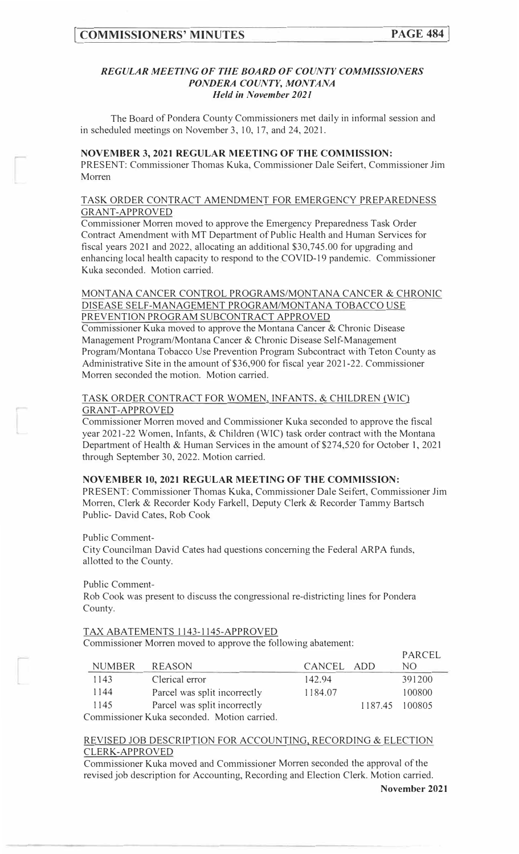### *REGULAR MEETING OF THE BOARD OF COUNTY COMMISSIONERS PONDERA COUNTY, MONTANA Held in November 2021*

The Board of Pondera County Commissioners met daily in informal session and in scheduled meetings on November 3, 10, 17, and 24, 2021.

#### **NOVEMBER 3, 2021 REGULAR MEETING OF THE COMMISSION:**

PRESENT: Commissioner Thomas Kuka, Commissioner Dale Seifert, Commissioner Jim Morren

### TASK ORDER CONTRACT AMENDMENT FOR EMERGENCY PREPAREDNESS GRANT-APPROVED

Commissioner Morren moved to approve the Emergency Preparedness Task Order Contract Amendment with MT Department of Public Health and Human Services for fiscal years 2021 and 2022, allocating an additional \$30,745.00 for upgrading and enhancing local health capacity to respond to the COVID-19 pandemic. Commissioner Kuka seconded. Motion carried.

# MONTANA CANCER CONTROL PROGRAMS/MONTANA CANCER & CHRONIC DISEASE SELF-MANAGEMENT PROGRAM/MONTANA TOBACCO USE PREVENTION PROGRAM SUBCONTRACT APPROVED

Commissioner Kuka moved to approve the Montana Cancer & Chronic Disease Management Program/Montana Cancer & Chronic Disease Self-Management Program/Montana Tobacco Use Prevention Program Subcontract with Teton County as Administrative Site in the amount of \$36,900 for fiscal year 2021-22. Commissioner Morren seconded the motion. Motion carried.

### TASK ORDER CONTRACT FOR WOMEN, INFANTS. & CHILDREN (WIC) GRANT-APPROVED

Commissioner Morren moved and Commissioner Kuka seconded to approve the fiscal year 2021-22 Women, Infants, & Children (WIC) task order contract with the Montana Department of Health & Human Services in the amount of \$274,520 for October 1, 2021 through September 30, 2022. Motion carried.

### **NOVEMBER 10, 2021 REGULAR MEETING OF THE COMMISSION:**

PRESENT: Commissioner Thomas Kuka, Commissioner Dale Seifert, Commissioner Jim Morren, Clerk & Recorder Kody Farkell, Deputy Clerk & Recorder Tammy Bartsch Public- David Cates, Rob Cook

Public Comment-

City Councilman David Cates had questions concerning the Federal ARPA funds, allotted to the County.

Public Comment-

Rob Cook was present to discuss the congressional re-districting lines for Pondera County.

### TAX ABATEMENTS I 143-1145-APPROVED

Commissioner Morren moved to approve the following abatement:

|                                           |                              |            |  | PARCEL         |
|-------------------------------------------|------------------------------|------------|--|----------------|
| <b>NUMBER</b>                             | <b>REASON</b>                | CANCEL ADD |  | NO.            |
| 1143                                      | Clerical error               | 142.94     |  | 391200         |
| 1144                                      | Parcel was split incorrectly | 1184.07    |  | 100800         |
| 1145                                      | Parcel was split incorrectly |            |  | 1187.45 100805 |
| Commissioner Kuke seconded Motion carried |                              |            |  |                |

Commissioner Kuka seconded. Motion carried.

# REVISED JOB DESCRIPTION FOR ACCOUNTING, RECORDING & ELECTION CLERK-APPROVED

Commissioner Kuka moved and Commissioner Morren seconded the approval of the revised job description for Accounting, Recording and Election Clerk. Motion carried.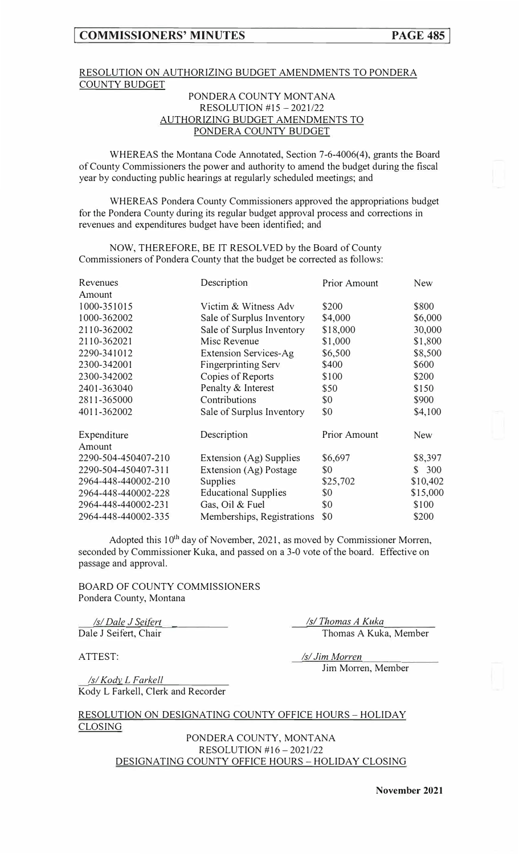# RESOLUTION ON AUTHORIZING BUDGET AMENDMENTS TO PONDERA COUNTY BUDGET

# PONDERA COUNTY MONTANA RESOLUTION #15 - 2021/22 AUTHORIZING BUDGET AMENDMENTS TO PONDERA COUNTY BUDGET

WHEREAS the Montana Code Annotated, Section 7-6-4006(4), grants the Board of County Commissioners the power and authority to amend the budget during the fiscal year by conducting public hearings at regularly scheduled meetings; and

WHEREAS Pondera County Commissioners approved the appropriations budget for the Pondera County during its regular budget approval process and corrections in revenues and expenditures budget have been identified; and

NOW, THEREFORE, BE IT RESOLVED by the Board of County Commissioners of Pondera County that the budget be corrected as follows:

| Revenues            | Description                  | <b>Prior Amount</b> | <b>New</b> |
|---------------------|------------------------------|---------------------|------------|
| Amount              |                              |                     |            |
| 1000-351015         | Victim & Witness Adv         | \$200               | \$800      |
| 1000-362002         | Sale of Surplus Inventory    | \$4,000             | \$6,000    |
| 2110-362002         | Sale of Surplus Inventory    | \$18,000            | 30,000     |
| 2110-362021         | Misc Revenue                 | \$1,000             | \$1,800    |
| 2290-341012         | <b>Extension Services-Ag</b> | \$6,500             | \$8,500    |
| 2300-342001         | <b>Fingerprinting Serv</b>   | \$400               | \$600      |
| 2300-342002         | Copies of Reports            | \$100               | \$200      |
| 2401-363040         | Penalty & Interest           | \$50                | \$150      |
| 2811-365000         | Contributions                | \$0                 | \$900      |
| 4011-362002         | Sale of Surplus Inventory    | \$0                 | \$4,100    |
| Expenditure         | Description                  | <b>Prior Amount</b> | <b>New</b> |
| Amount              |                              |                     |            |
| 2290-504-450407-210 | Extension (Ag) Supplies      | \$6,697             | \$8,397    |
| 2290-504-450407-311 | Extension (Ag) Postage       | \$0                 | 300<br>S.  |
| 2964-448-440002-210 | Supplies                     | \$25,702            | \$10,402   |
| 2964-448-440002-228 | <b>Educational Supplies</b>  | \$0                 | \$15,000   |
| 2964-448-440002-231 | Gas, Oil & Fuel              | \$0                 | \$100      |
| 2964-448-440002-335 | Memberships, Registrations   | \$0                 | \$200      |

Adopted this 10<sup>th</sup> day of November, 2021, as moved by Commissioner Morren, seconded by Commissioner Kuka, and passed on a 3-0 vote of the board. Effective on passage and approval.

BOARD OF COUNTY COMMISSIONERS Pondera County, Montana

*Is/Dale J Seifert* Dale J Seifert, Chair *�i\_Thomas A Kuka*  Thomas A Kuka, Member

ATTEST:

*Isl Jim Morren*  Jim Morren, Member

*Isl KodJ!\_ L Farkell*  Kody L Farkell, Clerk and Recorder

RESOLUTION ON DESIGNATING COUNTY OFFICE HOURS - HOLIDAY CLOSING

> PONDERA COUNTY, MONTANA RESOLUTION #16 - 2021/22 DESIGNATING COUNTY OFFICE HOURS - HOLIDAY CLOSING

**November 2021**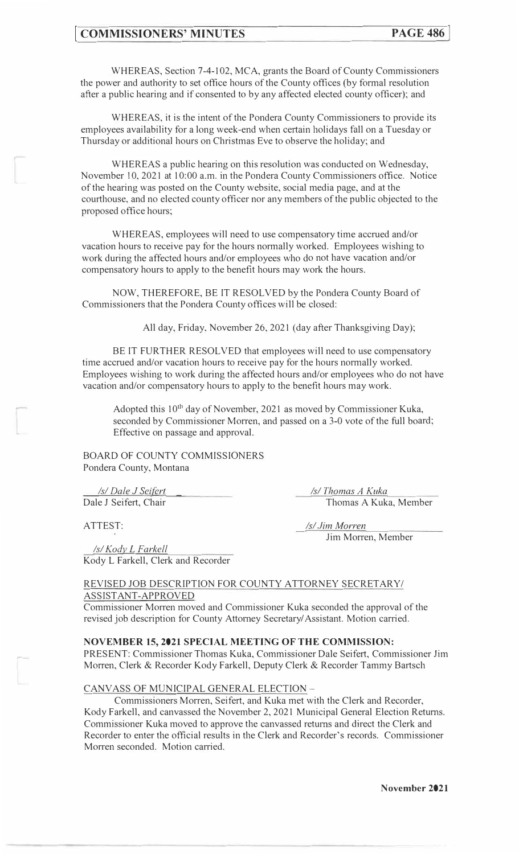WHEREAS, Section 7-4-102, MCA, grants the Board of County Commissioners the power and authority to set office hours of the County offices (by formal resolution after a public hearing and if consented to by any affected elected county officer); and

WHEREAS, it is the intent of the Pondera County Commissioners to provide its employees availability for a long week-end when certain holidays fall on a Tuesday or Thursday or additional hours on Christmas Eve to observe the holiday; and

WHEREAS a public hearing on this resolution was conducted on Wednesday, November 10, 2021 at 10:00 a.m. in the Pondera County Commissioners office. Notice of the hearing was posted on the County website, social media page, and at the courthouse, and no elected county officer nor any members of the public objected to the proposed office hours;

WHEREAS, employees will need to use compensatory time accrued and/or vacation hours to receive pay for the hours normally worked. Employees wishing to work during the affected hours and/or employees who do not have vacation and/or compensatory hours to apply to the benefit hours may work the hours.

NOW, THEREFORE, BE IT RESOLVED by the Pondera County Board of Commissioners that the Pondera County offices will be closed:

All day, Friday, November 26, 2021 (day after Thanksgiving Day);

BE IT FURTHER RESOLVED that employees will need to use compensatory time accrued and/or vacation hours to receive pay for the hours normally worked. Employees wishing to work during the affected hours and/or employees who do not have vacation and/or compensatory hours to apply to the benefit hours may work.

Adopted this 10<sup>th</sup> day of November, 2021 as moved by Commissioner Kuka, seconded by Commissioner Morren, and passed on a 3-0 vote of the full board; Effective on passage and approval.

BOARD OF COUNTY COMMISSIONERS Pondera County, Montana

*Isl Dale J Sei{grt*  Dale J Seifert, Chair

ATTEST:

*r-*

*Isl Kody\_L Farkell*  Kody L Farkell, Clerk and Recorder *Isl Thomas A Kuka*  Thomas A Kuka, Member

*Isl Jim Morren*  Jim Morren, Member

### REVISED JOB DESCRIPTION FOR COUNTY ATTORNEY SECRETARY/ ASSISTANT-APPROVED

Commissioner Morren moved and Commissioner Kuka seconded the approval of the revised job description for County Attorney Secretary/ Assistant. Motion carried.

### **NOVEMBER 15, 2021 SPECIAL MEETING OF THE COMMISSION:**

PRESENT: Commissioner Thomas Kuka, Commissioner Dale Seifert, Commissioner Jim Morren, Clerk & Recorder Kody Farkell, Deputy Clerk & Recorder Tammy Bartsch

### CANVASS OF MUNICIPAL GENERAL ELECTION -

Commissioners Morren, Seifert, and Kuka met with the Clerk and Recorder, Kody Farkell, and canvassed the November 2, 2021 Municipal General Election Returns. Commissioner Kuka moved to approve the canvassed returns and direct the Clerk and Recorder to enter the official results in the Clerk and Recorder's records. Commissioner Morren seconded. Motion carried.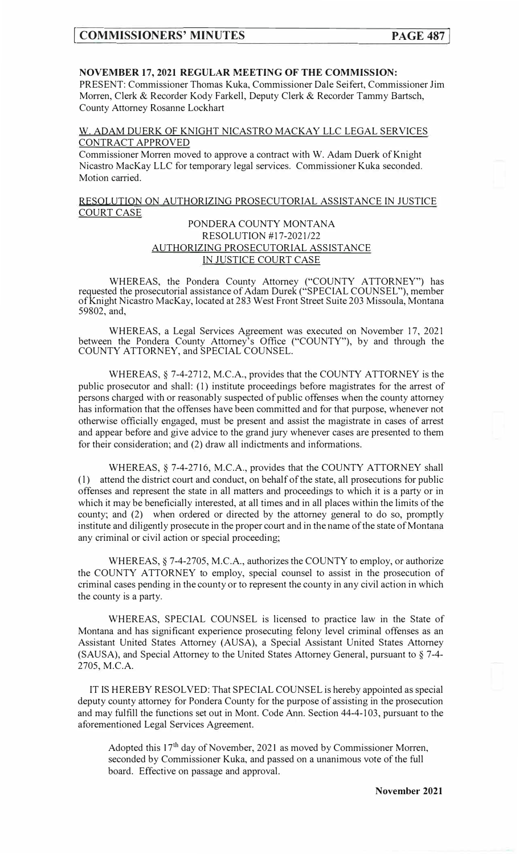# **NOVEMBER 17, 2021 REGULAR MEETING OF THE COMMISSION:**

PRESENT: Commissioner Thomas Kuka, Commissioner Dale Seifert, Commissioner Jim Morren, Clerk & Recorder Kody Farkell, Deputy Clerk & Recorder Tammy Bartsch, County Attorney Rosanne Lockhart

W. ADAM DUERK OF KNIGHT NICASTRO MACKAY LLC LEGAL SERVICES CONTRACT APPROVED

Commissioner Morren moved to approve a contract with W. Adam Duerk of Knight Nicastro MacKay LLC for temporary legal services. Commissioner Kuka seconded. Motion carried.

RESOLUTION ON AUTHORIZING PROSECUTORIAL ASSISTANCE IN JUSTICE COURT CASE

# PONDERA COUNTY MONTANA RESOLUTION #17-2021/22 AUTHORIZING PROSECUTORIAL ASSISTANCE IN JUSTICE COURT CASE

WHEREAS, the Pondera County Attorney ("COUNTY ATTORNEY") has requested the prosecutorial assistance of Adam Durek ("SPECIAL COUNSEL"), member of Knight Nicastro MacKay, located at 283 West Front Street Suite 203 Missoula, Montana 59802, and,

WHEREAS, a Legal Services Agreement was executed on November 17, 2021 between the Pondera County Attorney's Office ("COUNTY"), by and through the COUNTY ATTORNEY, and SPECIAL COUNSEL.

WHEREAS,§ 7-4-2712, M.C.A., provides that the COUNTY ATTORNEY is the public prosecutor and shall: (I) institute proceedings before magistrates for the arrest of persons charged with or reasonably suspected of public offenses when the county attorney has information that the offenses have been committed and for that purpose, whenever not otherwise officially engaged, must be present and assist the magistrate in cases of arrest and appear before and give advice to the grand jury whenever cases are presented to them for their consideration; and (2) draw all indictments and informations.

WHEREAS,§ 7-4-2716, M.C.A., provides that the COUNTY ATTORNEY shall (l) attend the district court and conduct, on behalf of the state, all prosecutions for public offenses and represent the state in all matters and proceedings to which it is a party or in which it may be beneficially interested, at all times and in all places within the limits of the county; and (2) when ordered or directed by the attorney general to do so, promptly institute and diligently prosecute in the proper court and in the name of the state of Montana any criminal or civil action or special proceeding;

WHEREAS,§ 7-4-2705, M.C.A., authorizes the COUNTY to employ, or authorize the COUNTY ATTORNEY to employ, special counsel to assist in the prosecution of criminal cases pending in the county or to represent the county in any civil action in which the county is a party.

WHEREAS, SPECIAL COUNSEL is licensed to practice law in the State of Montana and has significant experience prosecuting felony level criminal offenses as an Assistant United States Attorney (AUSA), a Special Assistant United States Attorney (SAUSA), and Special Attorney to the United States Attorney General, pursuant to§ 7-4- 2705, M.C.A.

IT IS HEREBY RESOLVED: That SPECIAL COUNSEL is hereby appointed as special deputy county attorney for Pondera County for the purpose of assisting in the prosecution and may fulfill the functions set out in Mont. Code Ann. Section 44-4-103, pursuant to the aforementioned Legal Services Agreement.

Adopted this 17<sup>th</sup> day of November, 2021 as moved by Commissioner Morren, seconded by Commissioner Kuka, and passed on a unanimous vote of the full board. Effective on passage and approval.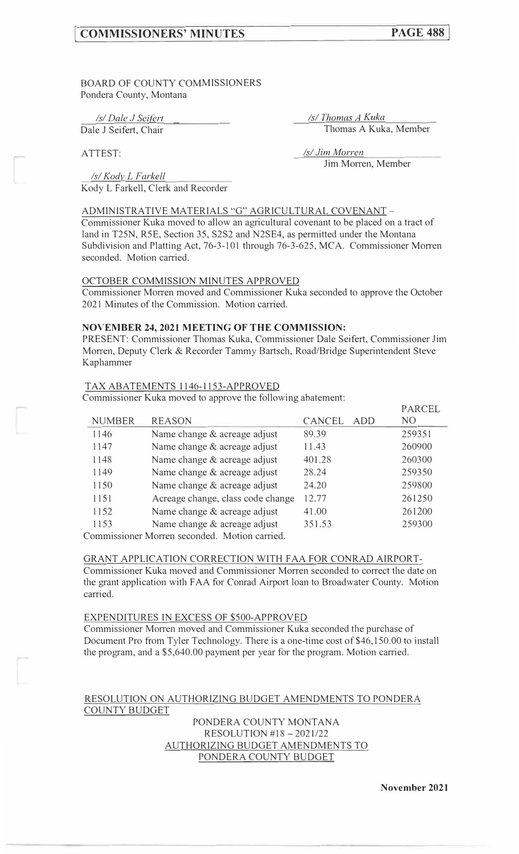# **[ COMMISSIONERS' MINUTES**

BOARD OF COUNTY COMMISSIONERS Pondera County, Montana

*Isl Dale J Sei{grt Isl Thomas A Kuka*  Dale J Seifert, Chair Thomas A Kuka, Member

Jim Morren, Member

ATTEST: *Isl Jim Morren* 

*Isl Kodv L F arkell*  Kody L Farkell, Clerk and Recorder

ADMINISTRATIVE MATERIALS "G" AGRICULTURAL COVENANT -

Commissioner Kuka moved to allow an agricultural covenant to be placed on a tract of land in T25N, R5E, Section 35, S2S2 and N2SE4, as permitted under the Montana Subdivision and Platting Act, 76-3-101 through 76-3-625, MCA. Commissioner Morren seconded. Motion carried.

### OCTOBER COMMISSION MINUTES APPROVED

Commissioner Morren moved and Commissioner Kuka seconded to approve the October 2021 Minutes of the Commission. Motion carried.

### **NOVEMBER 24, 2021 MEETING OF THE COMMISSION:**

PRESENT: Commissioner Thomas Kuka, Commissioner Dale Seifert, Commissioner Jim Morren, Deputy Clerk & Recorder Tammy Bartsch, Road/Bridge Superintendent Steve Kap hammer

### TAX ABATEMENTS 1146-1153-APPROVED

Commissioner Kuka moved to approve the following abatement:

|                                                       |                                   |               | PARCEL         |  |
|-------------------------------------------------------|-----------------------------------|---------------|----------------|--|
| <b>NUMBER</b>                                         | <b>REASON</b>                     | CANCEL<br>ADD | N <sub>O</sub> |  |
| 1146                                                  | Name change & acreage adjust      | 89.39         | 259351         |  |
| 1147                                                  | Name change & acreage adjust      | 11.43         | 260900         |  |
| 1148                                                  | Name change & acreage adjust      | 401.28        | 260300         |  |
| 1149                                                  | Name change & acreage adjust      | 28.24         | 259350         |  |
| 1150                                                  | Name change & acreage adjust      | 24.20         | 259800         |  |
| 1151                                                  | Acreage change, class code change | 12.77         | 261250         |  |
| 1152                                                  | Name change & acreage adjust      | 41.00         | 261200         |  |
| 1153                                                  | Name change & acreage adjust      | 351.53        | 259300         |  |
| $\alpha$ $\cdots$ $\alpha$ $\cdots$ $\cdots$ $\cdots$ |                                   |               |                |  |

Commissioner Morren seconded. Motion carried.

#### GRANT APPLICATION CORRECTION WITH FAA FOR CONRAD AIRPORT-

Commissioner Kuka moved and Commissioner Morren seconded to correct the date on the grant application with FAA for Conrad Airport loan to Broadwater County. Motion carried.

### EXPENDITURES IN EXCESS OF \$500-APPROVED

Commissioner Morren moved and Commissioner Kuka seconded the purchase of Document Pro from Tyler Technology. There is a one-time cost of \$46,150.00 to install the program, and a \$5,640.00 payment per year for the program. Motion carried.

### RESOLUTION ON AUTHORIZING BUDGET AMENDMENTS TO PONDERA COUNTY BUDGET

PONDERA COUNTY MONTANA RESOLUTION #18-2021/22 AUTHORIZING BUDGET AMENDMENTS TO PONDERA COUNTY BUDGET

**November 2021**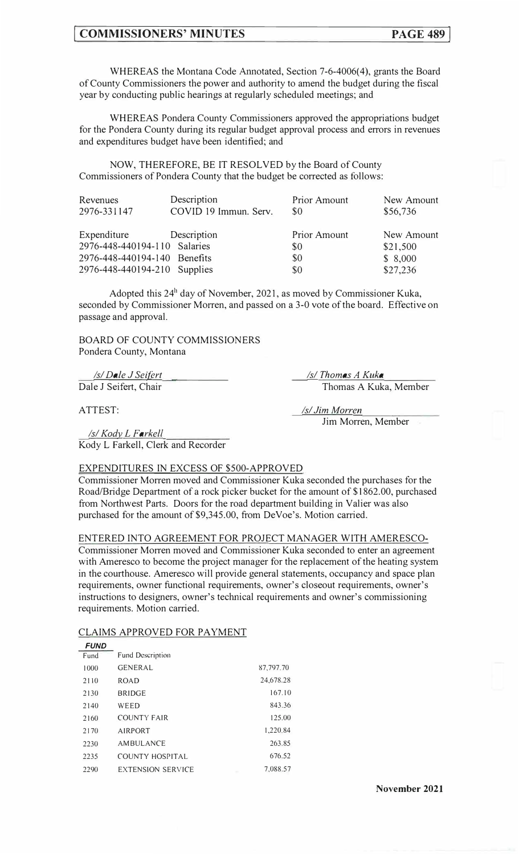# **COMMISSIONERS' MINUTES PAGE 489**

WHEREAS the Montana Code Annotated, Section 7-6-4006(4), grants the Board of County Commissioners the power and authority to amend the budget during the fiscal year by conducting public hearings at regularly scheduled meetings; and

WHEREAS Pondera County Commissioners approved the appropriations budget for the Pondera County during its regular budget approval process and errors in revenues and expenditures budget have been identified; and

NOW, THEREFORE, BE IT RESOLVED by the Board of County Commissioners of Pondera County that the budget be corrected as follows:

| Revenues<br>2976-331147      | Description<br>COVID 19 Immun. Serv. | Prior Amount<br>\$0 | New Amount<br>\$56,736 |
|------------------------------|--------------------------------------|---------------------|------------------------|
| Expenditure                  | Description                          | <b>Prior Amount</b> | New Amount             |
| 2976-448-440194-110 Salaries |                                      | \$0                 | \$21,500               |
| 2976-448-440194-140 Benefits |                                      | \$0                 | \$8,000                |
| 2976-448-440194-210 Supplies |                                      | \$0                 | \$27,236               |

Adopted this  $24^h$  day of November, 2021, as moved by Commissioner Kuka, seconded by Commissioner Morren, and passed on a 3-0 vote of the board. Effective on passage and approval.

BOARD OF COUNTY COMMISSIONERS Pondera County, Montana

*Isl Dale J Seilert*  Dale J Seifert, Chair *Isl Thomas A Kuka*  Thomas A Kuka, Member

ATTEST:

*Isl Jim Morren*  Jim Morren, Member

*Isl Kody\_ L Farkell*  Kody L Farkell, Clerk and Recorder

### EXPENDITURES IN EXCESS OF \$500-APPROVED

Commissioner Morren moved and Commissioner Kuka seconded the purchases for the Road/Bridge Department of a rock picker bucket for the amount of \$1862.00, purchased from Northwest Parts. Doors for the road department building in Valier was also purchased for the amount of \$9,345.00, from DeVoe's. Motion carried.

### ENTERED INTO AGREEMENT FOR PROJECT MANAGER WITH AMERESCO-

Commissioner Morren moved and Commissioner Kuka seconded to enter an agreement with Ameresco to become the project manager for the replacement of the heating system in the courthouse. Ameresco will provide general statements, occupancy and space plan requirements, owner functional requirements, owner's closeout requirements, owner's instructions to designers, owner's technical requirements and owner's commissioning requirements. Motion carried.

### CLAIMS APPROVED FOR PAYMENT

| <i>FUND</i> |                          |           |
|-------------|--------------------------|-----------|
| Fund        | <b>Fund Description</b>  |           |
| 1000        | <b>GENERAL</b>           | 87,797.70 |
| 2110        | <b>ROAD</b>              | 24,678.28 |
| 2130        | <b>BRIDGE</b>            | 167.10    |
| 2140        | WEED                     | 843.36    |
| 2160        | <b>COUNTY FAIR</b>       | 125.00    |
| 2170        | <b>AIRPORT</b>           | 1.220.84  |
| 2230        | AMBULANCE                | 263.85    |
| 2235        | COUNTY HOSPITAL          | 676.52    |
| 2290        | <b>EXTENSION SERVICE</b> | 7.088.57  |